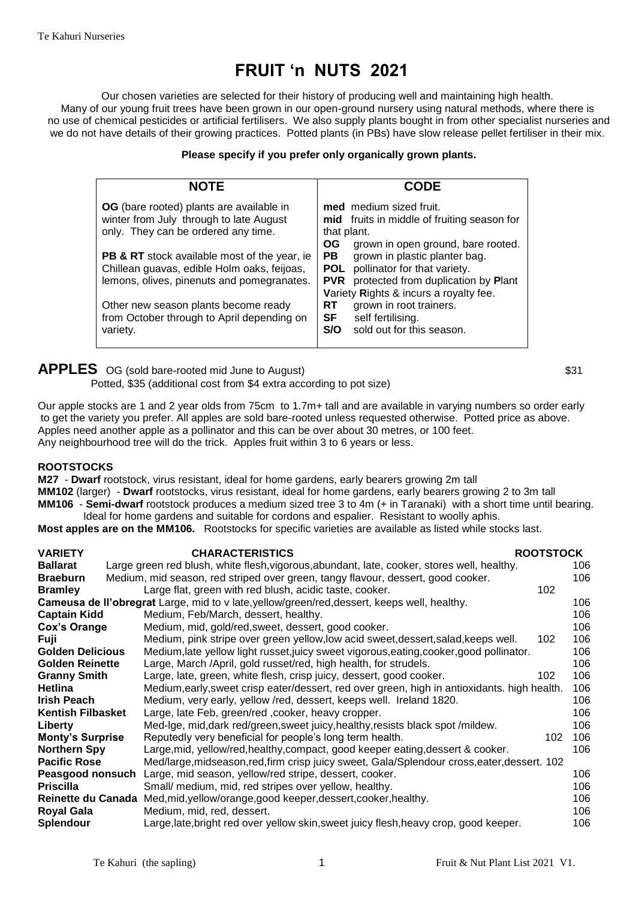# **FRUIT 'n NUTS 2021**

Our chosen varieties are selected for their history of producing well and maintaining high health. Many of our young fruit trees have been grown in our open-ground nursery using natural methods, where there is no use of chemical pesticides or artificial fertilisers. We also supply plants bought in from other specialist nurseries and we do not have details of their growing practices. Potted plants (in PBs) have slow release pellet fertiliser in their mix.

### **Please specify if you prefer only organically grown plants.**

| <b>NOTE</b>                                                                                                                                                                                                                                                                                                                                                                                 | CODE                                                                                                                                                                                                                                                                                                                                                                                                                         |
|---------------------------------------------------------------------------------------------------------------------------------------------------------------------------------------------------------------------------------------------------------------------------------------------------------------------------------------------------------------------------------------------|------------------------------------------------------------------------------------------------------------------------------------------------------------------------------------------------------------------------------------------------------------------------------------------------------------------------------------------------------------------------------------------------------------------------------|
| <b>OG</b> (bare rooted) plants are available in<br>winter from July through to late August<br>only. They can be ordered any time.<br><b>PB &amp; RT</b> stock available most of the year, ie<br>Chillean guavas, edible Holm oaks, feijoas,<br>lemons, olives, pinenuts and pomegranates.<br>Other new season plants become ready<br>from October through to April depending on<br>variety. | med medium sized fruit.<br>mid fruits in middle of fruiting season for<br>that plant.<br><b>OG</b><br>grown in open ground, bare rooted.<br>grown in plastic planter bag.<br><b>PB</b><br>pollinator for that variety.<br>POL<br>protected from duplication by Plant<br><b>PVR</b><br>Variety Rights & incurs a royalty fee.<br>grown in root trainers.<br>RT<br>SF<br>self fertilising.<br>sold out for this season.<br>S/O |

**APPLES** OG (sold bare-rooted mid June to August)  $$31$ Potted, \$35 (additional cost from \$4 extra according to pot size)

Our apple stocks are 1 and 2 year olds from 75cm to 1.7m+ tall and are available in varying numbers so order early to get the variety you prefer. All apples are sold bare-rooted unless requested otherwise. Potted price as above. Apples need another apple as a pollinator and this can be over about 30 metres, or 100 feet. Any neighbourhood tree will do the trick. Apples fruit within 3 to 6 years or less.

#### **ROOTSTOCKS**

**M27** - **Dwarf** rootstock, virus resistant, ideal for home gardens, early bearers growing 2m tall **MM102** (larger) - **Dwarf** rootstocks, virus resistant, ideal for home gardens, early bearers growing 2 to 3m tall **MM106** - **Semi-dwarf** rootstock produces a medium sized tree 3 to 4m (+ in Taranaki) with a short time until bearing. Ideal for home gardens and suitable for cordons and espalier. Resistant to woolly aphis.

**Most apples are on the MM106.** Rootstocks for specific varieties are available as listed while stocks last.

| <b>VARIETY</b>           | <b>CHARACTERISTICS</b>                                                                       | <b>ROOTSTOCK</b> |     |
|--------------------------|----------------------------------------------------------------------------------------------|------------------|-----|
| <b>Ballarat</b>          | Large green red blush, white flesh, vigorous, abundant, late, cooker, stores well, healthy.  |                  | 106 |
| <b>Braeburn</b>          | Medium, mid season, red striped over green, tangy flavour, dessert, good cooker.             |                  | 106 |
| <b>Bramley</b>           | Large flat, green with red blush, acidic taste, cooker.                                      | 102              |     |
|                          | Cameusa de Il'obregrat Large, mid to v late, yellow/green/red, dessert, keeps well, healthy. |                  | 106 |
| <b>Captain Kidd</b>      | Medium, Feb/March, dessert, healthy.                                                         |                  | 106 |
| <b>Cox's Orange</b>      | Medium, mid, gold/red, sweet, dessert, good cooker.                                          |                  | 106 |
| <b>Fuji</b>              | Medium, pink stripe over green yellow, low acid sweet, dessert, salad, keeps well.           | 102              | 106 |
| <b>Golden Delicious</b>  | Medium, late yellow light russet, juicy sweet vigorous, eating, cooker, good pollinator.     |                  | 106 |
| <b>Golden Reinette</b>   | Large, March /April, gold russet/red, high health, for strudels.                             |                  | 106 |
| <b>Granny Smith</b>      | Large, late, green, white flesh, crisp juicy, dessert, good cooker.                          | 102              | 106 |
| <b>Hetlina</b>           | Medium, early, sweet crisp eater/dessert, red over green, high in antioxidants. high health. |                  | 106 |
| <b>Irish Peach</b>       | Medium, very early, yellow /red, dessert, keeps well. Ireland 1820.                          |                  | 106 |
| <b>Kentish Filbasket</b> | Large, late Feb, green/red, cooker, heavy cropper.                                           |                  | 106 |
| Liberty                  | Med-Ige, mid, dark red/green, sweet juicy, healthy, resists black spot /mildew.              |                  | 106 |
| <b>Monty's Surprise</b>  | Reputedly very beneficial for people's long term health.                                     | 102              | 106 |
| <b>Northern Spy</b>      | Large, mid, yellow/red, healthy, compact, good keeper eating, dessert & cooker.              |                  | 106 |
| <b>Pacific Rose</b>      | Med/large, midseason, red, firm crisp juicy sweet, Gala/Splendour cross, eater, dessert. 102 |                  |     |
| Peasgood nonsuch         | Large, mid season, yellow/red stripe, dessert, cooker.                                       |                  | 106 |
| <b>Priscilla</b>         | Small/ medium, mid, red stripes over yellow, healthy.                                        |                  | 106 |
|                          | Reinette du Canada Med, mid, yellow/orange, good keeper, dessert, cooker, healthy.           |                  | 106 |
| <b>Royal Gala</b>        | Medium, mid, red, dessert.                                                                   |                  | 106 |
| <b>Splendour</b>         | Large, late, bright red over yellow skin, sweet juicy flesh, heavy crop, good keeper.        |                  | 106 |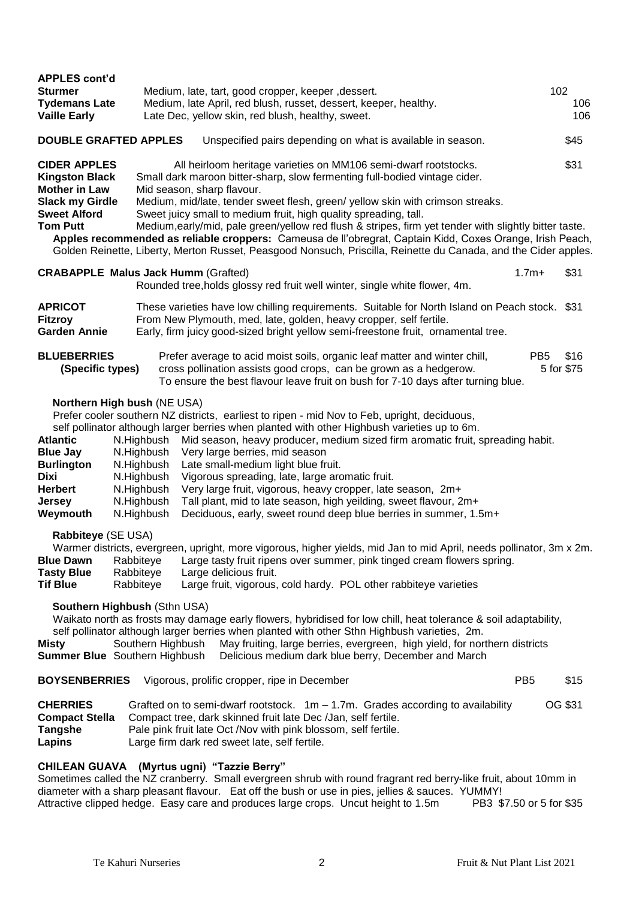| <b>APPLES cont'd</b><br><b>Sturmer</b><br><b>Tydemans Late</b><br><b>Vaille Early</b>                                                                | Medium, late, tart, good cropper, keeper, dessert.<br>Medium, late April, red blush, russet, dessert, keeper, healthy.<br>Late Dec, yellow skin, red blush, healthy, sweet.                                                                                                                                                                                                                                                                                                                                                                                                                                                                                                                                          |                 | 102<br>106<br>106  |
|------------------------------------------------------------------------------------------------------------------------------------------------------|----------------------------------------------------------------------------------------------------------------------------------------------------------------------------------------------------------------------------------------------------------------------------------------------------------------------------------------------------------------------------------------------------------------------------------------------------------------------------------------------------------------------------------------------------------------------------------------------------------------------------------------------------------------------------------------------------------------------|-----------------|--------------------|
| <b>DOUBLE GRAFTED APPLES</b>                                                                                                                         | Unspecified pairs depending on what is available in season.                                                                                                                                                                                                                                                                                                                                                                                                                                                                                                                                                                                                                                                          |                 | \$45               |
| <b>CIDER APPLES</b><br><b>Kingston Black</b><br><b>Mother in Law</b><br><b>Slack my Girdle</b><br><b>Sweet Alford</b><br><b>Tom Putt</b>             | All heirloom heritage varieties on MM106 semi-dwarf rootstocks.<br>Small dark maroon bitter-sharp, slow fermenting full-bodied vintage cider.<br>Mid season, sharp flavour.<br>Medium, mid/late, tender sweet flesh, green/ yellow skin with crimson streaks.<br>Sweet juicy small to medium fruit, high quality spreading, tall.<br>Medium, early/mid, pale green/yellow red flush & stripes, firm yet tender with slightly bitter taste.<br>Apples recommended as reliable croppers: Cameusa de ll'obregrat, Captain Kidd, Coxes Orange, Irish Peach,<br>Golden Reinette, Liberty, Merton Russet, Peasgood Nonsuch, Priscilla, Reinette du Canada, and the Cider apples.                                           |                 | \$31               |
|                                                                                                                                                      | <b>CRABAPPLE Malus Jack Humm (Grafted)</b><br>Rounded tree, holds glossy red fruit well winter, single white flower, 4m.                                                                                                                                                                                                                                                                                                                                                                                                                                                                                                                                                                                             | $1.7m+$         | \$31               |
| <b>APRICOT</b><br><b>Fitzroy</b><br><b>Garden Annie</b>                                                                                              | These varieties have low chilling requirements. Suitable for North Island on Peach stock. \$31<br>From New Plymouth, med, late, golden, heavy cropper, self fertile.<br>Early, firm juicy good-sized bright yellow semi-freestone fruit, ornamental tree.                                                                                                                                                                                                                                                                                                                                                                                                                                                            |                 |                    |
| <b>BLUEBERRIES</b><br>(Specific types)                                                                                                               | Prefer average to acid moist soils, organic leaf matter and winter chill,<br>cross pollination assists good crops, can be grown as a hedgerow.<br>To ensure the best flavour leave fruit on bush for 7-10 days after turning blue.                                                                                                                                                                                                                                                                                                                                                                                                                                                                                   | PB <sub>5</sub> | \$16<br>5 for \$75 |
| Northern High bush (NE USA)<br><b>Atlantic</b><br><b>Blue Jay</b><br><b>Burlington</b><br><b>Dixi</b><br><b>Herbert</b><br><b>Jersey</b><br>Weymouth | Prefer cooler southern NZ districts, earliest to ripen - mid Nov to Feb, upright, deciduous,<br>self pollinator although larger berries when planted with other Highbush varieties up to 6m.<br>Mid season, heavy producer, medium sized firm aromatic fruit, spreading habit.<br>N.Highbush<br>N.Highbush<br>Very large berries, mid season<br>Late small-medium light blue fruit.<br>N.Highbush<br>N.Highbush<br>Vigorous spreading, late, large aromatic fruit.<br>Very large fruit, vigorous, heavy cropper, late season, 2m+<br>N.Highbush<br>Tall plant, mid to late season, high yeilding, sweet flavour, 2m+<br>N.Highbush<br>N.Highbush<br>Deciduous, early, sweet round deep blue berries in summer, 1.5m+ |                 |                    |
| Rabbiteye (SE USA)<br><b>Blue Dawn</b><br><b>Tasty Blue</b><br><b>Tif Blue</b>                                                                       | Warmer districts, evergreen, upright, more vigorous, higher yields, mid Jan to mid April, needs pollinator, 3m x 2m.<br>Rabbiteye<br>Large tasty fruit ripens over summer, pink tinged cream flowers spring.<br>Large delicious fruit.<br>Rabbiteye<br>Large fruit, vigorous, cold hardy. POL other rabbiteye varieties<br>Rabbiteye                                                                                                                                                                                                                                                                                                                                                                                 |                 |                    |
| Southern Highbush (Sthn USA)<br>Misty<br><b>Summer Blue</b> Southern Highbush                                                                        | Waikato north as frosts may damage early flowers, hybridised for low chill, heat tolerance & soil adaptability,<br>self pollinator although larger berries when planted with other Sthn Highbush varieties, 2m.<br>May fruiting, large berries, evergreen, high yield, for northern districts<br>Southern Highbush<br>Delicious medium dark blue berry, December and March                                                                                                                                                                                                                                                                                                                                           |                 |                    |
| <b>BOYSENBERRIES</b>                                                                                                                                 | Vigorous, prolific cropper, ripe in December                                                                                                                                                                                                                                                                                                                                                                                                                                                                                                                                                                                                                                                                         | PB <sub>5</sub> | \$15               |
| <b>CHERRIES</b><br><b>Compact Stella</b><br><b>Tangshe</b><br>Lapins                                                                                 | Grafted on to semi-dwarf rootstock. $1m - 1.7m$ . Grades according to availability<br>Compact tree, dark skinned fruit late Dec /Jan, self fertile.<br>Pale pink fruit late Oct /Nov with pink blossom, self fertile.<br>Large firm dark red sweet late, self fertile.                                                                                                                                                                                                                                                                                                                                                                                                                                               |                 | OG \$31            |
|                                                                                                                                                      | <b>CHILEAN GUAVA</b> (Myrtus ugni) "Tazzie Berry"<br>Sometimes called the NZ cranberry. Small evergreen shrub with round fragrant red berry-like fruit, about 10mm in                                                                                                                                                                                                                                                                                                                                                                                                                                                                                                                                                |                 |                    |

diameter with a sharp pleasant flavour. Eat off the bush or use in pies, jellies & sauces. YUMMY! Attractive clipped hedge. Easy care and produces large crops. Uncut height to 1.5m PB3 \$7.50 or 5 for \$35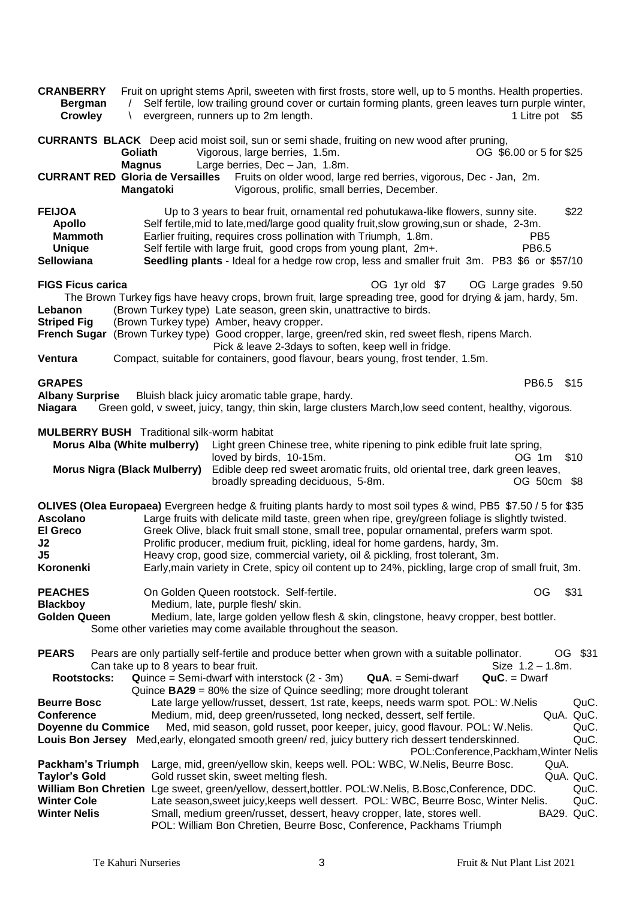| <b>CRANBERRY</b><br><b>Bergman</b><br><b>Crowley</b>                                   | \                                                                                                                        | Fruit on upright stems April, sweeten with first frosts, store well, up to 5 months. Health properties.<br>Self fertile, low trailing ground cover or curtain forming plants, green leaves turn purple winter,<br>evergreen, runners up to 2m length.                                                                                                                                                                                                                                                                                                                                      | 1 Litre pot \$5                                                               |
|----------------------------------------------------------------------------------------|--------------------------------------------------------------------------------------------------------------------------|--------------------------------------------------------------------------------------------------------------------------------------------------------------------------------------------------------------------------------------------------------------------------------------------------------------------------------------------------------------------------------------------------------------------------------------------------------------------------------------------------------------------------------------------------------------------------------------------|-------------------------------------------------------------------------------|
|                                                                                        | Goliath<br><b>Magnus</b><br><b>CURRANT RED Gloria de Versailles</b>                                                      | <b>CURRANTS BLACK</b> Deep acid moist soil, sun or semi shade, fruiting on new wood after pruning,<br>Vigorous, large berries, 1.5m.<br>Large berries, Dec - Jan, 1.8m.<br>Fruits on older wood, large red berries, vigorous, Dec - Jan, 2m.                                                                                                                                                                                                                                                                                                                                               | OG \$6.00 or 5 for \$25                                                       |
|                                                                                        | <b>Mangatoki</b>                                                                                                         | Vigorous, prolific, small berries, December.                                                                                                                                                                                                                                                                                                                                                                                                                                                                                                                                               |                                                                               |
| <b>FEIJOA</b><br><b>Apollo</b><br><b>Mammoth</b><br><b>Unique</b><br>Sellowiana        |                                                                                                                          | Up to 3 years to bear fruit, ornamental red pohutukawa-like flowers, sunny site.<br>Self fertile, mid to late, med/large good quality fruit, slow growing, sun or shade, 2-3m.<br>Earlier fruiting, requires cross pollination with Triumph, 1.8m.<br>Self fertile with large fruit, good crops from young plant, 2m+.<br>Seedling plants - Ideal for a hedge row crop, less and smaller fruit 3m. PB3 \$6 or \$57/10                                                                                                                                                                      | \$22<br>PB <sub>5</sub><br>PB6.5                                              |
| <b>FIGS Ficus carica</b>                                                               |                                                                                                                          | OG 1yr old \$7                                                                                                                                                                                                                                                                                                                                                                                                                                                                                                                                                                             | OG Large grades 9.50                                                          |
| Lebanon<br><b>Striped Fig</b>                                                          |                                                                                                                          | The Brown Turkey figs have heavy crops, brown fruit, large spreading tree, good for drying & jam, hardy, 5m.<br>(Brown Turkey type) Late season, green skin, unattractive to birds.<br>(Brown Turkey type) Amber, heavy cropper.<br>French Sugar (Brown Turkey type) Good cropper, large, green/red skin, red sweet flesh, ripens March.<br>Pick & leave 2-3days to soften, keep well in fridge.                                                                                                                                                                                           |                                                                               |
| Ventura                                                                                |                                                                                                                          | Compact, suitable for containers, good flavour, bears young, frost tender, 1.5m.                                                                                                                                                                                                                                                                                                                                                                                                                                                                                                           |                                                                               |
| <b>GRAPES</b><br><b>Albany Surprise</b><br><b>Niagara</b>                              |                                                                                                                          | Bluish black juicy aromatic table grape, hardy.<br>Green gold, v sweet, juicy, tangy, thin skin, large clusters March, low seed content, healthy, vigorous.                                                                                                                                                                                                                                                                                                                                                                                                                                | PB6.5<br>\$15                                                                 |
|                                                                                        | <b>MULBERRY BUSH</b> Traditional silk-worm habitat<br>Morus Alba (White mulberry)<br><b>Morus Nigra (Black Mulberry)</b> | Light green Chinese tree, white ripening to pink edible fruit late spring,<br>loved by birds, 10-15m.<br>Edible deep red sweet aromatic fruits, old oriental tree, dark green leaves,<br>broadly spreading deciduous, 5-8m.                                                                                                                                                                                                                                                                                                                                                                | \$10<br>OG 1m<br>OG 50cm \$8                                                  |
| <b>Ascolano</b><br><b>El Greco</b><br>J2<br>J5<br>Koronenki                            |                                                                                                                          | OLIVES (Olea Europaea) Evergreen hedge & fruiting plants hardy to most soil types & wind, PB5 \$7.50 / 5 for \$35<br>Large fruits with delicate mild taste, green when ripe, grey/green foliage is slightly twisted.<br>Greek Olive, black fruit small stone, small tree, popular ornamental, prefers warm spot.<br>Prolific producer, medium fruit, pickling, ideal for home gardens, hardy, 3m.<br>Heavy crop, good size, commercial variety, oil & pickling, frost tolerant, 3m.<br>Early, main variety in Crete, spicy oil content up to 24%, pickling, large crop of small fruit, 3m. |                                                                               |
| <b>PEACHES</b><br><b>Blackboy</b><br><b>Golden Queen</b>                               |                                                                                                                          | On Golden Queen rootstock. Self-fertile.<br>Medium, late, purple flesh/skin.<br>Medium, late, large golden yellow flesh & skin, clingstone, heavy cropper, best bottler.<br>Some other varieties may come available throughout the season.                                                                                                                                                                                                                                                                                                                                                 | OG<br>\$31                                                                    |
| <b>PEARS</b><br><b>Rootstocks:</b>                                                     | Can take up to 8 years to bear fruit.                                                                                    | Pears are only partially self-fertile and produce better when grown with a suitable pollinator.<br>$Quince = Semi-dwarf with interstock (2 - 3m)$<br>$QuA. = Semi-dwarf$<br>Quince <b>BA29</b> = 80% the size of Quince seedling; more drought tolerant                                                                                                                                                                                                                                                                                                                                    | \$31<br>OG.<br>Size $1.2 - 1.8$ m.<br>$QuC. = Dwarf$                          |
| <b>Beurre Bosc</b><br><b>Conference</b><br><b>Doyenne du Commice</b>                   |                                                                                                                          | Late large yellow/russet, dessert, 1st rate, keeps, needs warm spot. POL: W.Nelis<br>Medium, mid, deep green/russeted, long necked, dessert, self fertile.<br>Med, mid season, gold russet, poor keeper, juicy, good flavour. POL: W.Nelis.<br>Louis Bon Jersey Med, early, elongated smooth green/red, juicy buttery rich dessert tenderskinned.                                                                                                                                                                                                                                          | QuC.<br>QuC.<br>QuA.<br>QuC.<br>QuC.<br>POL:Conference, Packham, Winter Nelis |
| Packham's Triumph<br><b>Taylor's Gold</b><br><b>Winter Cole</b><br><b>Winter Nelis</b> |                                                                                                                          | Large, mid, green/yellow skin, keeps well. POL: WBC, W.Nelis, Beurre Bosc.<br>Gold russet skin, sweet melting flesh.<br>William Bon Chretien Lge sweet, green/yellow, dessert, bottler. POL: W. Nelis, B. Bosc, Conference, DDC.<br>Late season, sweet juicy, keeps well dessert. POL: WBC, Beurre Bosc, Winter Nelis.<br>Small, medium green/russet, dessert, heavy cropper, late, stores well.<br>POL: William Bon Chretien, Beurre Bosc, Conference, Packhams Triumph                                                                                                                   | QuA.<br>QuA. QuC.<br>QuC.<br>QuC.<br>BA29. QuC.                               |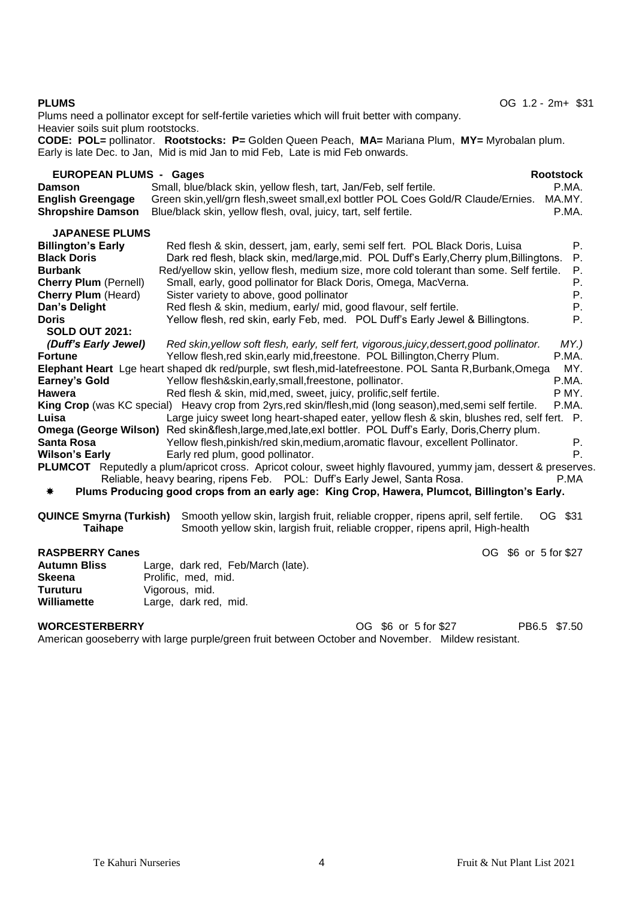Plums need a pollinator except for self-fertile varieties which will fruit better with company. Heavier soils suit plum rootstocks.

**CODE: POL=** pollinator. **Rootstocks: P=** Golden Queen Peach, **MA=** Mariana Plum, **MY=** Myrobalan plum. Early is late Dec. to Jan, Mid is mid Jan to mid Feb, Late is mid Feb onwards.

| <b>EUROPEAN PLUMS - Gages</b><br><b>Damson</b><br><b>English Greengage</b><br><b>Shropshire Damson</b>                                                                                                             | <b>Rootstock</b><br>P.MA.<br>Small, blue/black skin, yellow flesh, tart, Jan/Feb, self fertile.<br>Green skin, yell/grn flesh, sweet small, exl bottler POL Coes Gold/R Claude/Ernies.<br>MA.MY.<br>P.MA.<br>Blue/black skin, yellow flesh, oval, juicy, tart, self fertile.                                                                                                                                                                                                                                                                                                                                                                                                                                                                                                                                                                                                                                                                                                                                                                                                                                                                                                                                                              |
|--------------------------------------------------------------------------------------------------------------------------------------------------------------------------------------------------------------------|-------------------------------------------------------------------------------------------------------------------------------------------------------------------------------------------------------------------------------------------------------------------------------------------------------------------------------------------------------------------------------------------------------------------------------------------------------------------------------------------------------------------------------------------------------------------------------------------------------------------------------------------------------------------------------------------------------------------------------------------------------------------------------------------------------------------------------------------------------------------------------------------------------------------------------------------------------------------------------------------------------------------------------------------------------------------------------------------------------------------------------------------------------------------------------------------------------------------------------------------|
| <b>JAPANESE PLUMS</b><br><b>Billington's Early</b><br><b>Black Doris</b><br><b>Burbank</b><br><b>Cherry Plum (Pernell)</b><br><b>Cherry Plum (Heard)</b><br>Dan's Delight<br><b>Doris</b><br><b>SOLD OUT 2021:</b> | Red flesh & skin, dessert, jam, early, semi self fert. POL Black Doris, Luisa<br>Ρ.<br>Ρ.<br>Dark red flesh, black skin, med/large, mid. POL Duff's Early, Cherry plum, Billingtons.<br>Red/yellow skin, yellow flesh, medium size, more cold tolerant than some. Self fertile.<br>Ρ.<br>Small, early, good pollinator for Black Doris, Omega, MacVerna.<br>Ρ.<br>Sister variety to above, good pollinator<br>Р.<br>Red flesh & skin, medium, early/ mid, good flavour, self fertile.<br>Р.<br>Yellow flesh, red skin, early Feb, med. POL Duff's Early Jewel & Billingtons.<br>Р.                                                                                                                                                                                                                                                                                                                                                                                                                                                                                                                                                                                                                                                        |
| (Duff's Early Jewel)<br><b>Fortune</b><br><b>Earney's Gold</b><br>Hawera<br>Luisa<br><b>Santa Rosa</b><br><b>Wilson's Early</b><br>₩                                                                               | Red skin, yellow soft flesh, early, self fert, vigorous, juicy, dessert, good pollinator.<br>MY.<br>Yellow flesh, red skin, early mid, freestone. POL Billington, Cherry Plum.<br>P.MA.<br>MY.<br>Elephant Heart Lge heart shaped dk red/purple, swt flesh, mid-latefreestone. POL Santa R, Burbank, Omega<br>P.MA.<br>Yellow flesh&skin,early,small,freestone, pollinator.<br>P MY.<br>Red flesh & skin, mid, med, sweet, juicy, prolific, self fertile.<br>King Crop (was KC special) Heavy crop from 2yrs, red skin/flesh, mid (long season), med, semi self fertile.<br>P.MA.<br>Large juicy sweet long heart-shaped eater, yellow flesh & skin, blushes red, self fert. P.<br>Omega (George Wilson) Red skin&flesh, large, med, late, exl bottler. POL Duff's Early, Doris, Cherry plum.<br>Yellow flesh, pinkish/red skin, medium, aromatic flavour, excellent Pollinator.<br>Р.<br>Ρ.<br>Early red plum, good pollinator.<br>PLUMCOT Reputedly a plum/apricot cross. Apricot colour, sweet highly flavoured, yummy jam, dessert & preserves.<br>Reliable, heavy bearing, ripens Feb. POL: Duff's Early Jewel, Santa Rosa.<br>P.MA<br>Plums Producing good crops from an early age: King Crop, Hawera, Plumcot, Billington's Early. |
| <b>QUINCE Smyrna (Turkish)</b><br><b>Taihape</b>                                                                                                                                                                   | Smooth yellow skin, largish fruit, reliable cropper, ripens april, self fertile.<br>OG \$31<br>Smooth yellow skin, largish fruit, reliable cropper, ripens april, High-health                                                                                                                                                                                                                                                                                                                                                                                                                                                                                                                                                                                                                                                                                                                                                                                                                                                                                                                                                                                                                                                             |
| <b>RASPBERRY Canes</b><br><b>Autumn Bliss</b><br><b>Skeena</b><br><b>Turuturu</b><br>Williamette                                                                                                                   | OG \$6 or 5 for \$27<br>Large, dark red, Feb/March (late).<br>Prolific, med, mid.<br>Vigorous, mid.<br>Large, dark red, mid.                                                                                                                                                                                                                                                                                                                                                                                                                                                                                                                                                                                                                                                                                                                                                                                                                                                                                                                                                                                                                                                                                                              |

| <b>WORCESTERBERRY</b>                                                                             | OG \$6 or 5 for \$27 | PB6.5 \$7.50 |  |
|---------------------------------------------------------------------------------------------------|----------------------|--------------|--|
| American gooseberry with large purple/green fruit between October and November. Mildew resistant. |                      |              |  |